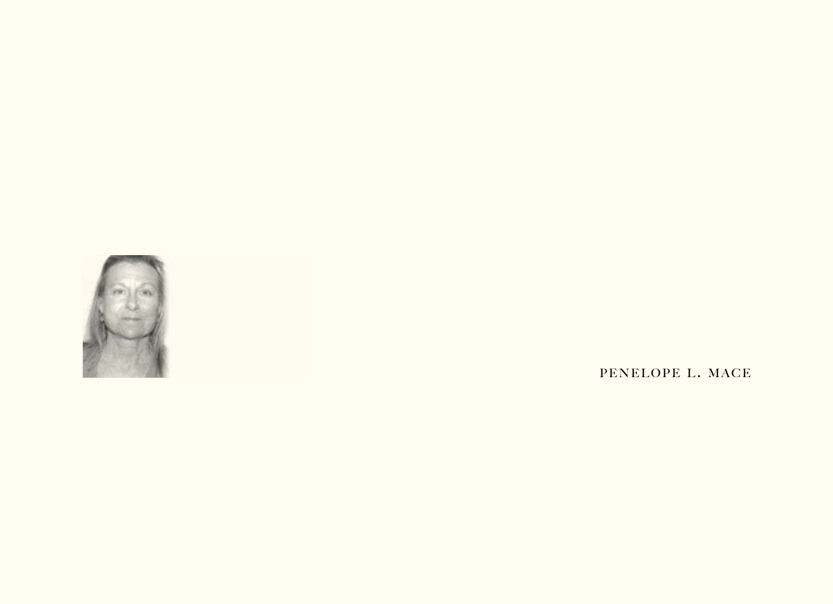

PENELOPE L. MACE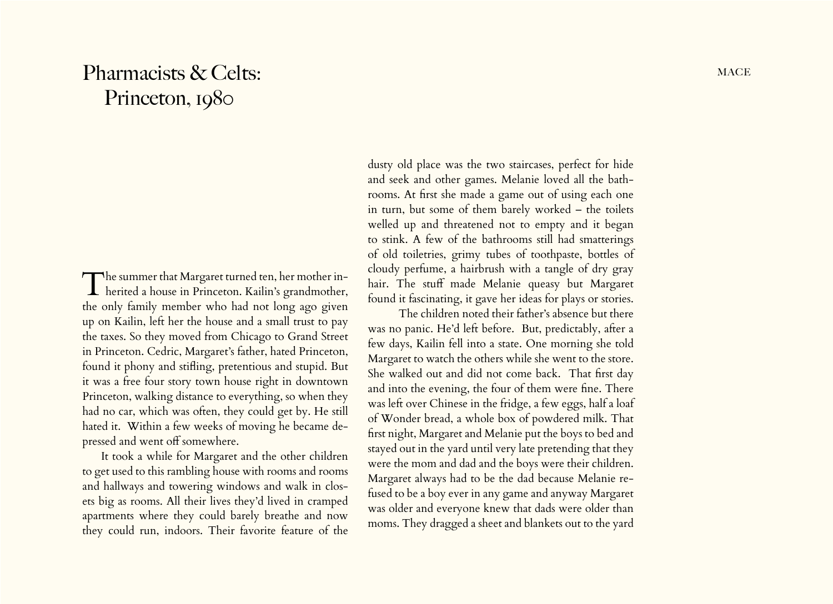## Pharmacists & Celts: mace matches when the set of the set of the set of the set of the set of the set of the set of the set of the set of the set of the set of the set of the set of the set of the set of the set of the set Princeton, 1980

The summer that Margaret turned ten, her mother inherited a house in Princeton. Kailin's grandmother, the only family member who had not long ago given up on Kailin, left her the house and a small trust to pay the taxes. So they moved from Chicago to Grand Street in Princeton. Cedric, Margaret's father, hated Princeton, found it phony and stifling, pretentious and stupid. But it was a free four story town house right in downtown Princeton, walking distance to everything, so when they had no car, which was often, they could get by. He still hated it. Within a few weeks of moving he became depressed and went off somewhere.

It took a while for Margaret and the other children to get used to this rambling house with rooms and rooms and hallways and towering windows and walk in closets big as rooms. All their lives they'd lived in cramped apartments where they could barely breathe and now they could run, indoors. Their favorite feature of the

dusty old place was the two staircases, perfect for hide and seek and other games. Melanie loved all the bathrooms. At first she made a game out of using each one in turn, but some of them barely worked – the toilets welled up and threatened not to empty and it began to stink. A few of the bathrooms still had smatterings of old toiletries, grimy tubes of toothpaste, bottles of cloudy perfume, a hairbrush with a tangle of dry gray hair. The stuff made Melanie queasy but Margaret found it fascinating, it gave her ideas for plays or stories.

 The children noted their father's absence but there was no panic. He'd left before. But, predictably, after a few days, Kailin fell into a state. One morning she told Margaret to watch the others while she went to the store. She walked out and did not come back. That first day and into the evening, the four of them were fine. There was left over Chinese in the fridge, a few eggs, half a loaf of Wonder bread, a whole box of powdered milk. That first night, Margaret and Melanie put the boys to bed and stayed out in the yard until very late pretending that they were the mom and dad and the boys were their children. Margaret always had to be the dad because Melanie refused to be a boy ever in any game and anyway Margaret was older and everyone knew that dads were older than moms. They dragged a sheet and blankets out to the yard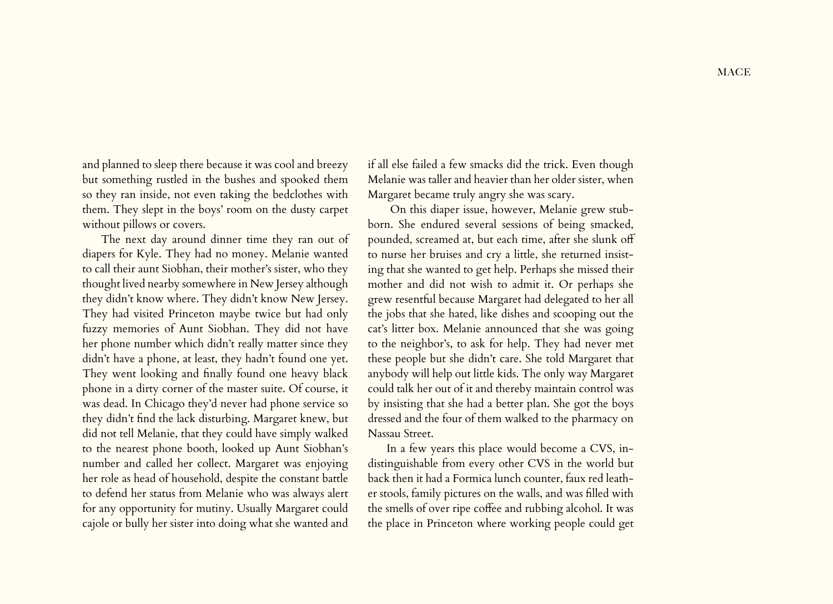and planned to sleep there because it was cool and breezy but something rustled in the bushes and spooked them so they ran inside, not even taking the bedclothes with them. They slept in the boys' room on the dusty carpet without pillows or covers.

The next day around dinner time they ran out of diapers for Kyle. They had no money. Melanie wanted to call their aunt Siobhan, their mother's sister, who they thought lived nearby somewhere in New Jersey although they didn't know where. They didn't know New Jersey. They had visited Princeton maybe twice but had only fuzzy memories of Aunt Siobhan. They did not have her phone number which didn't really matter since they didn't have a phone, at least, they hadn't found one yet. They went looking and finally found one heavy black phone in a dirty corner of the master suite. Of course, it was dead. In Chicago they'd never had phone service so they didn't find the lack disturbing. Margaret knew, but did not tell Melanie, that they could have simply walked to the nearest phone booth, looked up Aunt Siobhan's number and called her collect. Margaret was enjoying her role as head of household, despite the constant battle to defend her status from Melanie who was always alert for any opportunity for mutiny. Usually Margaret could cajole or bully her sister into doing what she wanted and

if all else failed a few smacks did the trick. Even though Melanie was taller and heavier than her older sister, when Margaret became truly angry she was scary.

 On this diaper issue, however, Melanie grew stubborn. She endured several sessions of being smacked, pounded, screamed at, but each time, after she slunk off to nurse her bruises and cry a little, she returned insisting that she wanted to get help. Perhaps she missed their mother and did not wish to admit it. Or perhaps she grew resentful because Margaret had delegated to her all the jobs that she hated, like dishes and scooping out the cat's litter box. Melanie announced that she was going to the neighbor's, to ask for help. They had never met these people but she didn't care. She told Margaret that anybody will help out little kids. The only way Margaret could talk her out of it and thereby maintain control was by insisting that she had a better plan. She got the boys dressed and the four of them walked to the pharmacy on Nassau Street.

In a few years this place would become a CVS, indistinguishable from every other CVS in the world but back then it had a Formica lunch counter, faux red leather stools, family pictures on the walls, and was filled with the smells of over ripe coffee and rubbing alcohol. It was the place in Princeton where working people could get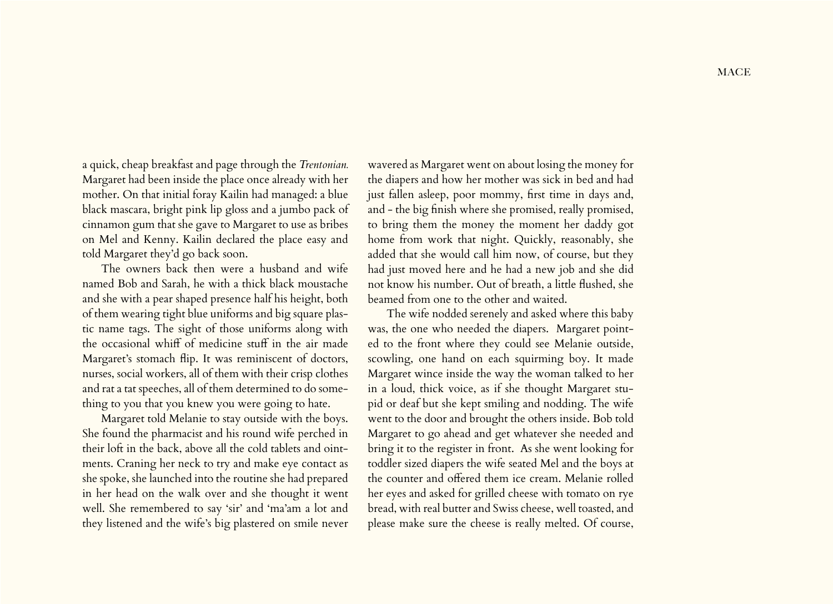a quick, cheap breakfast and page through the *Trentonian.* Margaret had been inside the place once already with her mother. On that initial foray Kailin had managed: a blue black mascara, bright pink lip gloss and a jumbo pack of cinnamon gum that she gave to Margaret to use as bribes on Mel and Kenny. Kailin declared the place easy and told Margaret they'd go back soon.

The owners back then were a husband and wife named Bob and Sarah, he with a thick black moustache and she with a pear shaped presence half his height, both of them wearing tight blue uniforms and big square plastic name tags. The sight of those uniforms along with the occasional whiff of medicine stuff in the air made Margaret's stomach flip. It was reminiscent of doctors, nurses, social workers, all of them with their crisp clothes and rat a tat speeches, all of them determined to do something to you that you knew you were going to hate.

Margaret told Melanie to stay outside with the boys. She found the pharmacist and his round wife perched in their loft in the back, above all the cold tablets and ointments. Craning her neck to try and make eye contact as she spoke, she launched into the routine she had prepared in her head on the walk over and she thought it went well. She remembered to say 'sir' and 'ma'am a lot and they listened and the wife's big plastered on smile never wavered as Margaret went on about losing the money for the diapers and how her mother was sick in bed and had just fallen asleep, poor mommy, first time in days and, and - the big finish where she promised, really promised, to bring them the money the moment her daddy got home from work that night. Quickly, reasonably, she added that she would call him now, of course, but they had just moved here and he had a new job and she did not know his number. Out of breath, a little flushed, she beamed from one to the other and waited.

The wife nodded serenely and asked where this baby was, the one who needed the diapers. Margaret pointed to the front where they could see Melanie outside, scowling, one hand on each squirming boy. It made Margaret wince inside the way the woman talked to her in a loud, thick voice, as if she thought Margaret stupid or deaf but she kept smiling and nodding. The wife went to the door and brought the others inside. Bob told Margaret to go ahead and get whatever she needed and bring it to the register in front. As she went looking for toddler sized diapers the wife seated Mel and the boys at the counter and offered them ice cream. Melanie rolled her eyes and asked for grilled cheese with tomato on rye bread, with real butter and Swiss cheese, well toasted, and please make sure the cheese is really melted. Of course,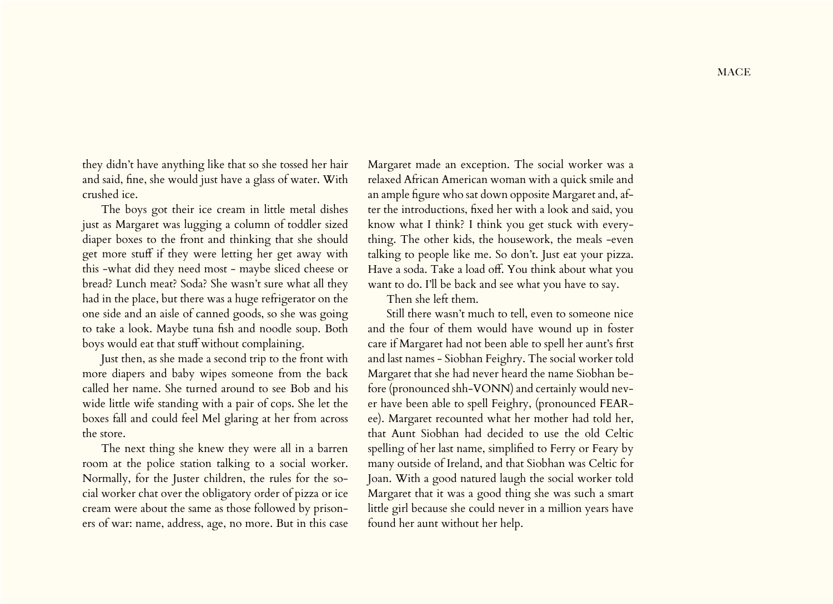they didn't have anything like that so she tossed her hair and said, fine, she would just have a glass of water. With crushed ice.

The boys got their ice cream in little metal dishes just as Margaret was lugging a column of toddler sized diaper boxes to the front and thinking that she should get more stuff if they were letting her get away with this -what did they need most - maybe sliced cheese or bread? Lunch meat? Soda? She wasn't sure what all they had in the place, but there was a huge refrigerator on the one side and an aisle of canned goods, so she was going to take a look. Maybe tuna fish and noodle soup. Both boys would eat that stuff without complaining.

Just then, as she made a second trip to the front with more diapers and baby wipes someone from the back called her name. She turned around to see Bob and his wide little wife standing with a pair of cops. She let the boxes fall and could feel Mel glaring at her from across the store.

The next thing she knew they were all in a barren room at the police station talking to a social worker. Normally, for the Juster children, the rules for the social worker chat over the obligatory order of pizza or ice cream were about the same as those followed by prisoners of war: name, address, age, no more. But in this case

Margaret made an exception. The social worker was a relaxed African American woman with a quick smile and an ample figure who sat down opposite Margaret and, after the introductions, fixed her with a look and said, you know what I think? I think you get stuck with everything. The other kids, the housework, the meals -even talking to people like me. So don't. Just eat your pizza. Have a soda. Take a load off. You think about what you want to do. I'll be back and see what you have to say.

Then she left them.

Still there wasn't much to tell, even to someone nice and the four of them would have wound up in foster care if Margaret had not been able to spell her aunt's first and last names - Siobhan Feighry. The social worker told Margaret that she had never heard the name Siobhan before (pronounced shh-VONN) and certainly would never have been able to spell Feighry, (pronounced FEARee). Margaret recounted what her mother had told her, that Aunt Siobhan had decided to use the old Celtic spelling of her last name, simplified to Ferry or Feary by many outside of Ireland, and that Siobhan was Celtic for Joan. With a good natured laugh the social worker told Margaret that it was a good thing she was such a smart little girl because she could never in a million years have found her aunt without her help.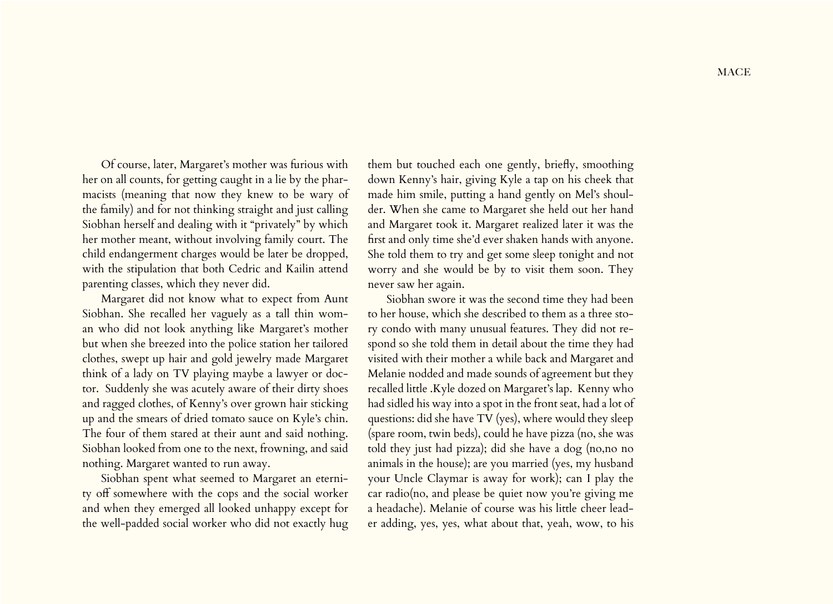Of course, later, Margaret's mother was furious with her on all counts, for getting caught in a lie by the pharmacists (meaning that now they knew to be wary of the family) and for not thinking straight and just calling Siobhan herself and dealing with it "privately" by which her mother meant, without involving family court. The child endangerment charges would be later be dropped, with the stipulation that both Cedric and Kailin attend parenting classes, which they never did.

Margaret did not know what to expect from Aunt Siobhan. She recalled her vaguely as a tall thin woman who did not look anything like Margaret's mother but when she breezed into the police station her tailored clothes, swept up hair and gold jewelry made Margaret think of a lady on TV playing maybe a lawyer or doctor. Suddenly she was acutely aware of their dirty shoes and ragged clothes, of Kenny's over grown hair sticking up and the smears of dried tomato sauce on Kyle's chin. The four of them stared at their aunt and said nothing. Siobhan looked from one to the next, frowning, and said nothing. Margaret wanted to run away.

Siobhan spent what seemed to Margaret an eternity off somewhere with the cops and the social worker and when they emerged all looked unhappy except for the well-padded social worker who did not exactly hug

them but touched each one gently, briefly, smoothing down Kenny's hair, giving Kyle a tap on his cheek that made him smile, putting a hand gently on Mel's shoulder. When she came to Margaret she held out her hand and Margaret took it. Margaret realized later it was the first and only time she'd ever shaken hands with anyone. She told them to try and get some sleep tonight and not worry and she would be by to visit them soon. They never saw her again.

Siobhan swore it was the second time they had been to her house, which she described to them as a three story condo with many unusual features. They did not respond so she told them in detail about the time they had visited with their mother a while back and Margaret and Melanie nodded and made sounds of agreement but they recalled little .Kyle dozed on Margaret's lap. Kenny who had sidled his way into a spot in the front seat, had a lot of questions: did she have TV (yes), where would they sleep (spare room, twin beds), could he have pizza (no, she was told they just had pizza); did she have a dog (no,no no animals in the house); are you married (yes, my husband your Uncle Claymar is away for work); can I play the car radio(no, and please be quiet now you're giving me a headache). Melanie of course was his little cheer leader adding, yes, yes, what about that, yeah, wow, to his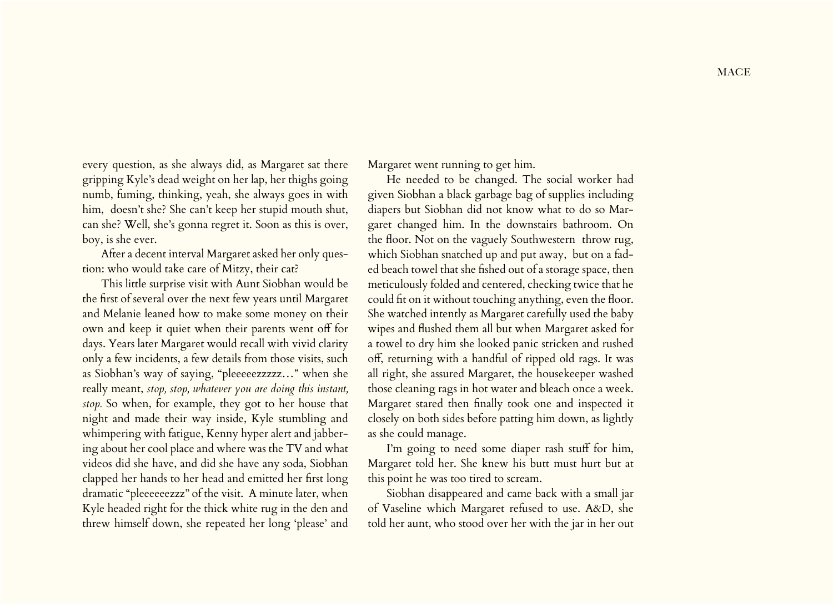every question, as she always did, as Margaret sat there gripping Kyle's dead weight on her lap, her thighs going numb, fuming, thinking, yeah, she always goes in with him, doesn't she? She can't keep her stupid mouth shut, can she? Well, she's gonna regret it. Soon as this is over, boy, is she ever.

After a decent interval Margaret asked her only question: who would take care of Mitzy, their cat?

This little surprise visit with Aunt Siobhan would be the first of several over the next few years until Margaret and Melanie leaned how to make some money on their own and keep it quiet when their parents went off for days. Years later Margaret would recall with vivid clarity only a few incidents, a few details from those visits, such as Siobhan's way of saying, "pleeeeezzzzz…" when she really meant, *stop, stop, whatever you are doing this instant, stop.* So when, for example, they got to her house that night and made their way inside, Kyle stumbling and whimpering with fatigue, Kenny hyper alert and jabbering about her cool place and where was the TV and what videos did she have, and did she have any soda, Siobhan clapped her hands to her head and emitted her first long dramatic "pleeeeeezzz" of the visit. A minute later, when Kyle headed right for the thick white rug in the den and threw himself down, she repeated her long 'please' and

Margaret went running to get him.

He needed to be changed. The social worker had given Siobhan a black garbage bag of supplies including diapers but Siobhan did not know what to do so Margaret changed him. In the downstairs bathroom. On the floor. Not on the vaguely Southwestern throw rug, which Siobhan snatched up and put away, but on a faded beach towel that she fished out of a storage space, then meticulously folded and centered, checking twice that he could fit on it without touching anything, even the floor. She watched intently as Margaret carefully used the baby wipes and flushed them all but when Margaret asked for a towel to dry him she looked panic stricken and rushed off, returning with a handful of ripped old rags. It was all right, she assured Margaret, the housekeeper washed those cleaning rags in hot water and bleach once a week. Margaret stared then finally took one and inspected it closely on both sides before patting him down, as lightly as she could manage.

I'm going to need some diaper rash stuff for him, Margaret told her. She knew his butt must hurt but at this point he was too tired to scream.

Siobhan disappeared and came back with a small jar of Vaseline which Margaret refused to use. A&D, she told her aunt, who stood over her with the jar in her out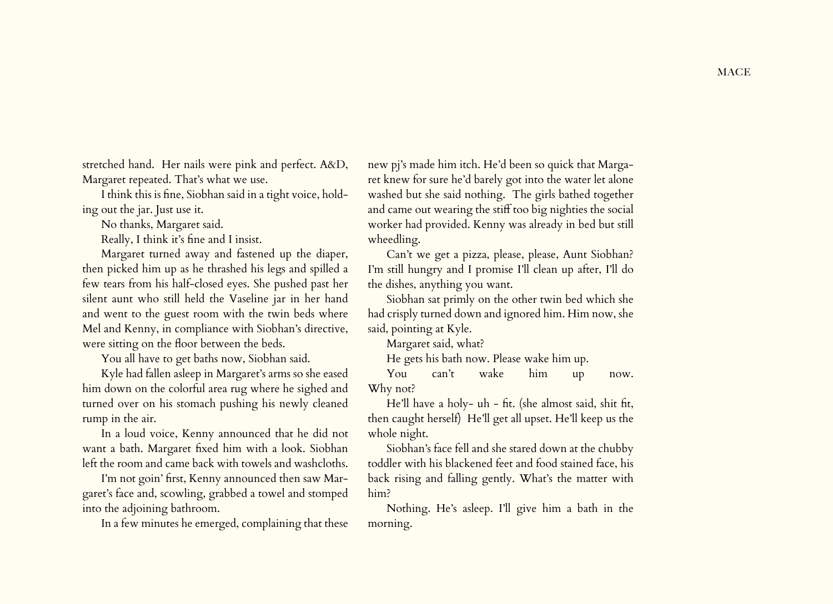stretched hand. Her nails were pink and perfect. A&D, Margaret repeated. That's what we use.

I think this is fine, Siobhan said in a tight voice, holding out the jar. Just use it.

No thanks, Margaret said.

Really, I think it's fine and I insist.

Margaret turned away and fastened up the diaper, then picked him up as he thrashed his legs and spilled a few tears from his half-closed eyes. She pushed past her silent aunt who still held the Vaseline jar in her hand and went to the guest room with the twin beds where Mel and Kenny, in compliance with Siobhan's directive, were sitting on the floor between the beds.

You all have to get baths now, Siobhan said.

Kyle had fallen asleep in Margaret's arms so she eased him down on the colorful area rug where he sighed and turned over on his stomach pushing his newly cleaned rump in the air.

In a loud voice, Kenny announced that he did not want a bath. Margaret fixed him with a look. Siobhan left the room and came back with towels and washcloths.

I'm not goin' first, Kenny announced then saw Margaret's face and, scowling, grabbed a towel and stomped into the adjoining bathroom.

In a few minutes he emerged, complaining that these

new pj's made him itch. He'd been so quick that Margaret knew for sure he'd barely got into the water let alone washed but she said nothing. The girls bathed together and came out wearing the stiff too big nighties the social worker had provided. Kenny was already in bed but still wheedling.

Can't we get a pizza, please, please, Aunt Siobhan? I'm still hungry and I promise I'll clean up after, I'll do the dishes, anything you want.

Siobhan sat primly on the other twin bed which she had crisply turned down and ignored him. Him now, she said, pointing at Kyle.

Margaret said, what?

He gets his bath now. Please wake him up.

You can't wake him up now. Why not?

He'll have a holy- uh - fit. (she almost said, shit fit, then caught herself) He'll get all upset. He'll keep us the whole night.

Siobhan's face fell and she stared down at the chubby toddler with his blackened feet and food stained face, his back rising and falling gently. What's the matter with him?

Nothing. He's asleep. I'll give him a bath in the morning.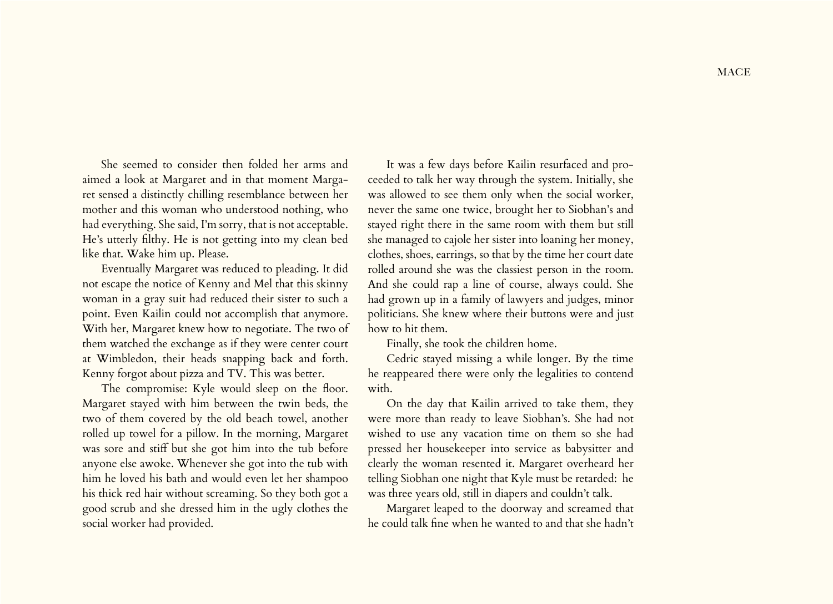She seemed to consider then folded her arms and aimed a look at Margaret and in that moment Margaret sensed a distinctly chilling resemblance between her mother and this woman who understood nothing, who had everything. She said, I'm sorry, that is not acceptable. He's utterly filthy. He is not getting into my clean bed like that. Wake him up. Please.

Eventually Margaret was reduced to pleading. It did not escape the notice of Kenny and Mel that this skinny woman in a gray suit had reduced their sister to such a point. Even Kailin could not accomplish that anymore. With her, Margaret knew how to negotiate. The two of them watched the exchange as if they were center court at Wimbledon, their heads snapping back and forth. Kenny forgot about pizza and TV. This was better.

The compromise: Kyle would sleep on the floor. Margaret stayed with him between the twin beds, the two of them covered by the old beach towel, another rolled up towel for a pillow. In the morning, Margaret was sore and stiff but she got him into the tub before anyone else awoke. Whenever she got into the tub with him he loved his bath and would even let her shampoo his thick red hair without screaming. So they both got a good scrub and she dressed him in the ugly clothes the social worker had provided.

It was a few days before Kailin resurfaced and proceeded to talk her way through the system. Initially, she was allowed to see them only when the social worker, never the same one twice, brought her to Siobhan's and stayed right there in the same room with them but still she managed to cajole her sister into loaning her money, clothes, shoes, earrings, so that by the time her court date rolled around she was the classiest person in the room. And she could rap a line of course, always could. She had grown up in a family of lawyers and judges, minor politicians. She knew where their buttons were and just how to hit them.

Finally, she took the children home.

Cedric stayed missing a while longer. By the time he reappeared there were only the legalities to contend with.

On the day that Kailin arrived to take them, they were more than ready to leave Siobhan's. She had not wished to use any vacation time on them so she had pressed her housekeeper into service as babysitter and clearly the woman resented it. Margaret overheard her telling Siobhan one night that Kyle must be retarded: he was three years old, still in diapers and couldn't talk.

Margaret leaped to the doorway and screamed that he could talk fine when he wanted to and that she hadn't